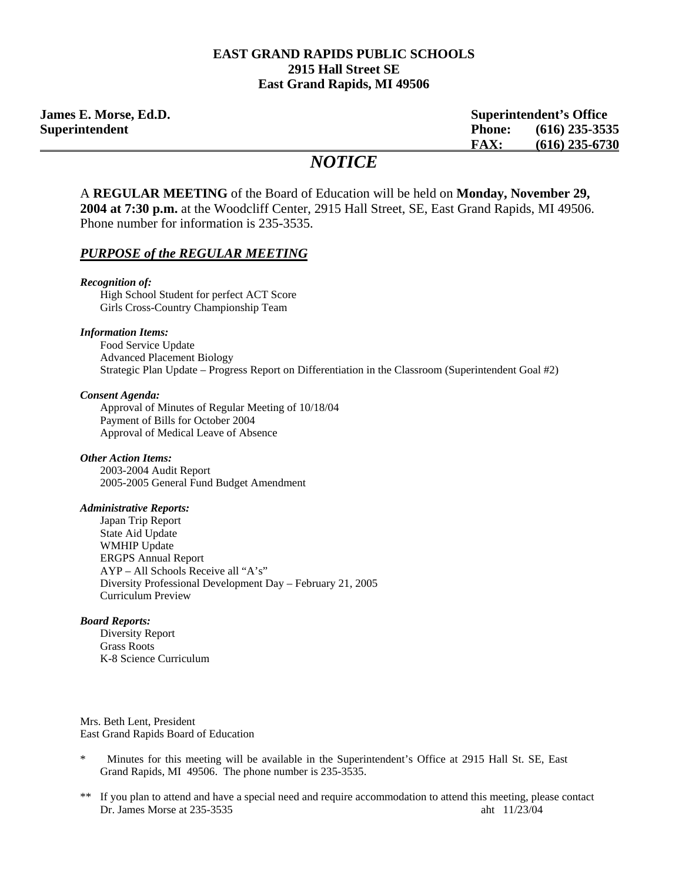#### **EAST GRAND RAPIDS PUBLIC SCHOOLS 2915 Hall Street SE East Grand Rapids, MI 49506**

**James E. Morse, Ed.D. Superintendent's Office Superintendent Phone: (616) 235-3535 FAX: (616) 235-6730**

## *NOTICE*

A **REGULAR MEETING** of the Board of Education will be held on **Monday, November 29, 2004 at 7:30 p.m.** at the Woodcliff Center, 2915 Hall Street, SE, East Grand Rapids, MI 49506. Phone number for information is 235-3535.

#### *PURPOSE of the REGULAR MEETING*

*Recognition of:*  High School Student for perfect ACT Score Girls Cross-Country Championship Team

#### *Information Items:*

Food Service Update Advanced Placement Biology Strategic Plan Update – Progress Report on Differentiation in the Classroom (Superintendent Goal #2)

#### *Consent Agenda:*

 Approval of Minutes of Regular Meeting of 10/18/04 Payment of Bills for October 2004 Approval of Medical Leave of Absence

#### *Other Action Items:*

 2003-2004 Audit Report 2005-2005 General Fund Budget Amendment

#### *Administrative Reports:*

Japan Trip Report State Aid Update WMHIP Update ERGPS Annual Report AYP – All Schools Receive all "A's" Diversity Professional Development Day – February 21, 2005 Curriculum Preview

#### *Board Reports:*

Diversity Report Grass Roots K-8 Science Curriculum

Mrs. Beth Lent, President East Grand Rapids Board of Education

- Minutes for this meeting will be available in the Superintendent's Office at 2915 Hall St. SE, East Grand Rapids, MI 49506. The phone number is 235-3535.
- If you plan to attend and have a special need and require accommodation to attend this meeting, please contact Dr. James Morse at 235-3535 aht 11/23/04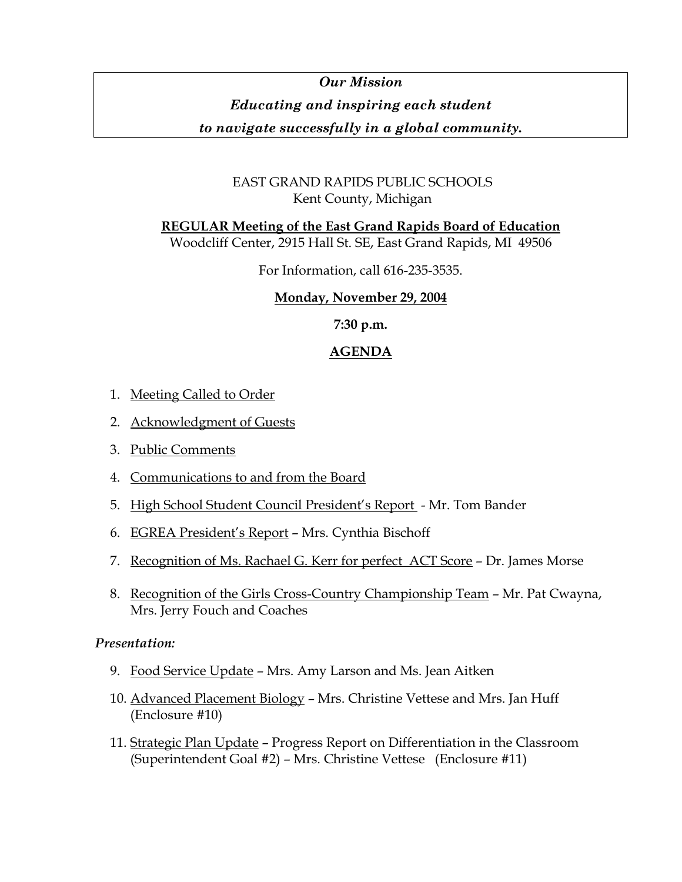# *Our Mission Educating and inspiring each student*

## *to navigate successfully in a global community.*

## EAST GRAND RAPIDS PUBLIC SCHOOLS Kent County, Michigan

**REGULAR Meeting of the East Grand Rapids Board of Education** Woodcliff Center, 2915 Hall St. SE, East Grand Rapids, MI 49506

For Information, call 616-235-3535.

## **Monday, November 29, 2004**

**7:30 p.m.** 

## **AGENDA**

- 1. Meeting Called to Order
- 2. Acknowledgment of Guests
- 3. Public Comments
- 4. Communications to and from the Board
- 5. High School Student Council President's Report Mr. Tom Bander
- 6. EGREA President's Report Mrs. Cynthia Bischoff
- 7. Recognition of Ms. Rachael G. Kerr for perfect ACT Score Dr. James Morse
- 8. Recognition of the Girls Cross-Country Championship Team Mr. Pat Cwayna, Mrs. Jerry Fouch and Coaches

## *Presentation:*

- 9. Food Service Update Mrs. Amy Larson and Ms. Jean Aitken
- 10. Advanced Placement Biology Mrs. Christine Vettese and Mrs. Jan Huff (Enclosure #10)
- 11. Strategic Plan Update Progress Report on Differentiation in the Classroom (Superintendent Goal #2) – Mrs. Christine Vettese (Enclosure #11)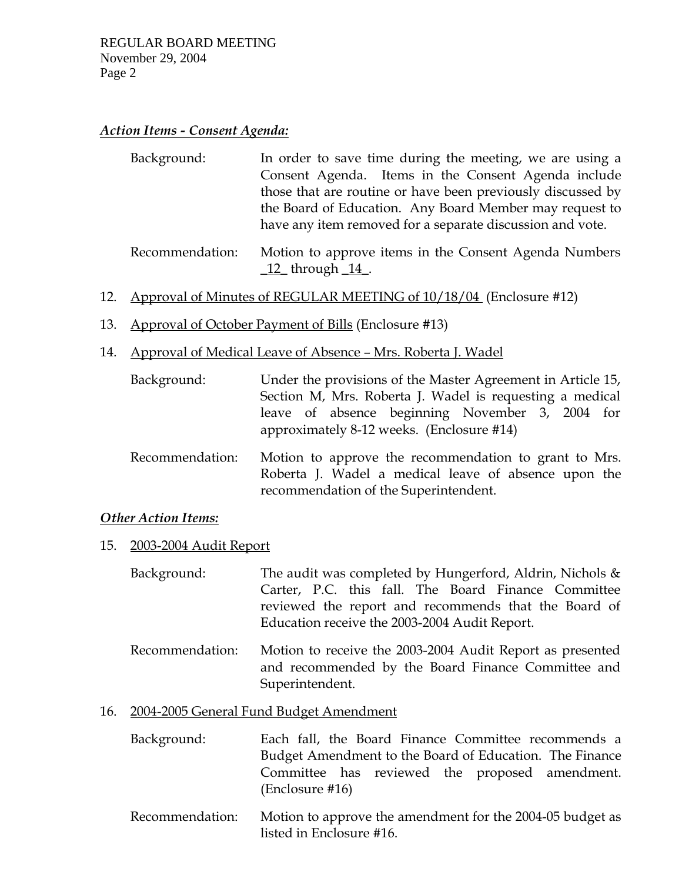#### *Action Items - Consent Agenda:*

| Background: | In order to save time during the meeting, we are using a    |
|-------------|-------------------------------------------------------------|
|             | Consent Agenda. Items in the Consent Agenda include         |
|             | those that are routine or have been previously discussed by |
|             | the Board of Education. Any Board Member may request to     |
|             | have any item removed for a separate discussion and vote.   |
|             |                                                             |

- Recommendation: Motion to approve items in the Consent Agenda Numbers \_12\_ through \_14\_.
- 12. Approval of Minutes of REGULAR MEETING of 10/18/04 (Enclosure #12)
- 13. Approval of October Payment of Bills (Enclosure #13)
- 14. Approval of Medical Leave of Absence Mrs. Roberta J. Wadel

| Background:     | Under the provisions of the Master Agreement in Article 15,<br>Section M, Mrs. Roberta J. Wadel is requesting a medical<br>leave of absence beginning November 3, 2004 for<br>approximately 8-12 weeks. (Enclosure #14) |
|-----------------|-------------------------------------------------------------------------------------------------------------------------------------------------------------------------------------------------------------------------|
| Recommendation: | Motion to approve the recommendation to grant to Mrs.<br>Roberta J. Wadel a medical leave of absence upon the<br>recommendation of the Superintendent.                                                                  |

## *Other Action Items:*

15. 2003-2004 Audit Report

| Background: | The audit was completed by Hungerford, Aldrin, Nichols & |
|-------------|----------------------------------------------------------|
|             | Carter, P.C. this fall. The Board Finance Committee      |
|             | reviewed the report and recommends that the Board of     |
|             | Education receive the 2003-2004 Audit Report.            |

 Recommendation: Motion to receive the 2003-2004 Audit Report as presented and recommended by the Board Finance Committee and Superintendent.

#### 16. 2004-2005 General Fund Budget Amendment

- Background: Each fall, the Board Finance Committee recommends a Budget Amendment to the Board of Education. The Finance Committee has reviewed the proposed amendment. (Enclosure #16)
- Recommendation: Motion to approve the amendment for the 2004-05 budget as listed in Enclosure #16.